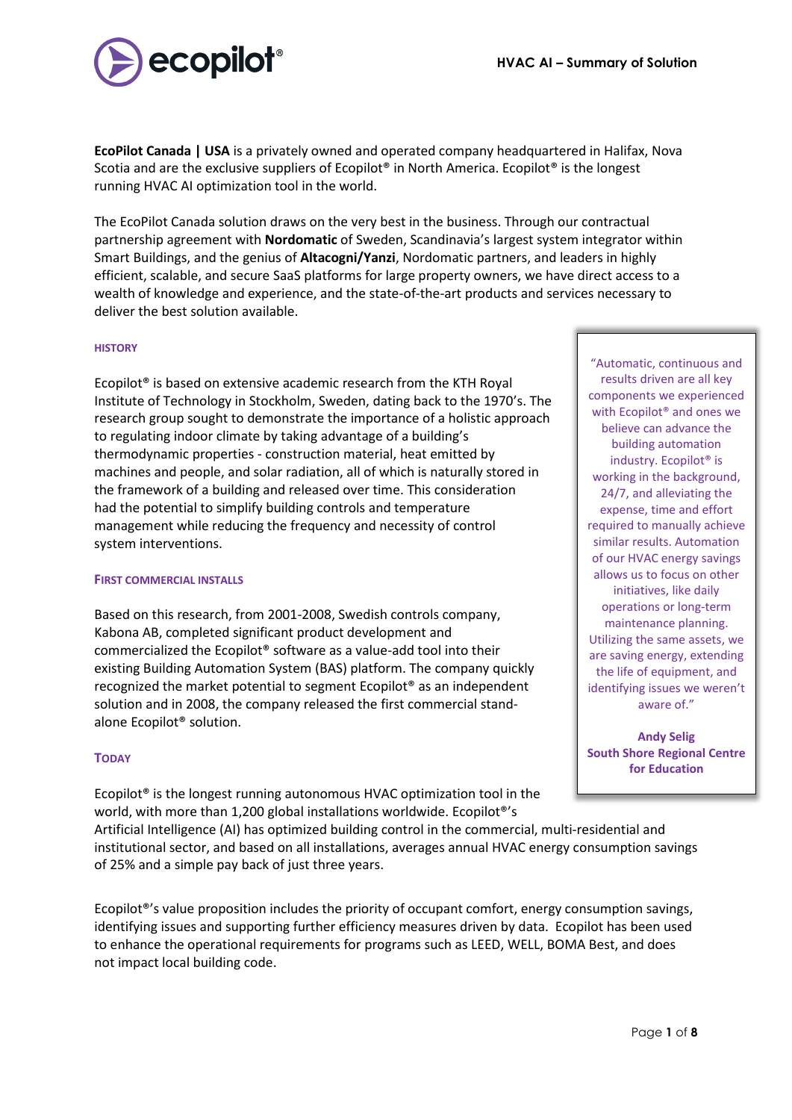

**EcoPilot Canada | USA** is a privately owned and operated company headquartered in Halifax, Nova Scotia and are the exclusive suppliers of Ecopilot® in North America. Ecopilot® is the longest running HVAC AI optimization tool in the world.

The EcoPilot Canada solution draws on the very best in the business. Through our contractual partnership agreement with **Nordomatic** of Sweden, Scandinavia's largest system integrator within Smart Buildings, and the genius of **Altacogni/Yanzi**, Nordomatic partners, and leaders in highly efficient, scalable, and secure SaaS platforms for large property owners, we have direct access to a wealth of knowledge and experience, and the state-of-the-art products and services necessary to deliver the best solution available.

## **HISTORY**

Ecopilot® is based on extensive academic research from the KTH Royal Institute of Technology in Stockholm, Sweden, dating back to the 1970's. The research group sought to demonstrate the importance of a holistic approach to regulating indoor climate by taking advantage of a building's thermodynamic properties - construction material, heat emitted by machines and people, and solar radiation, all of which is naturally stored in the framework of a building and released over time. This consideration had the potential to simplify building controls and temperature management while reducing the frequency and necessity of control system interventions.

#### **FIRST COMMERCIAL INSTALLS**

Based on this research, from 2001-2008, Swedish controls company, Kabona AB, completed significant product development and commercialized the Ecopilot® software as a value-add tool into their existing Building Automation System (BAS) platform. The company quickly recognized the market potential to segment Ecopilot® as an independent solution and in 2008, the company released the first commercial standalone Ecopilot® solution.

## **TODAY**

Ecopilot® is the longest running autonomous HVAC optimization tool in the world, with more than 1,200 global installations worldwide. Ecopilot®'s

Artificial Intelligence (AI) has optimized building control in the commercial, multi-residential and institutional sector, and based on all installations, averages annual HVAC energy consumption savings of 25% and a simple pay back of just three years.

Ecopilot<sup>®'</sup>s value proposition includes the priority of occupant comfort, energy consumption savings, identifying issues and supporting further efficiency measures driven by data. Ecopilot has been used to enhance the operational requirements for programs such as LEED, WELL, BOMA Best, and does not impact local building code.

"Automatic, continuous and results driven are all key components we experienced with Ecopilot® and ones we believe can advance the building automation industry. Ecopilot® is working in the background, 24/7, and alleviating the expense, time and effort required to manually achieve similar results. Automation of our HVAC energy savings allows us to focus on other initiatives, like daily operations or long-term maintenance planning. Utilizing the same assets, we are saving energy, extending the life of equipment, and identifying issues we weren't aware of."

**Andy Selig South Shore Regional Centre for Education**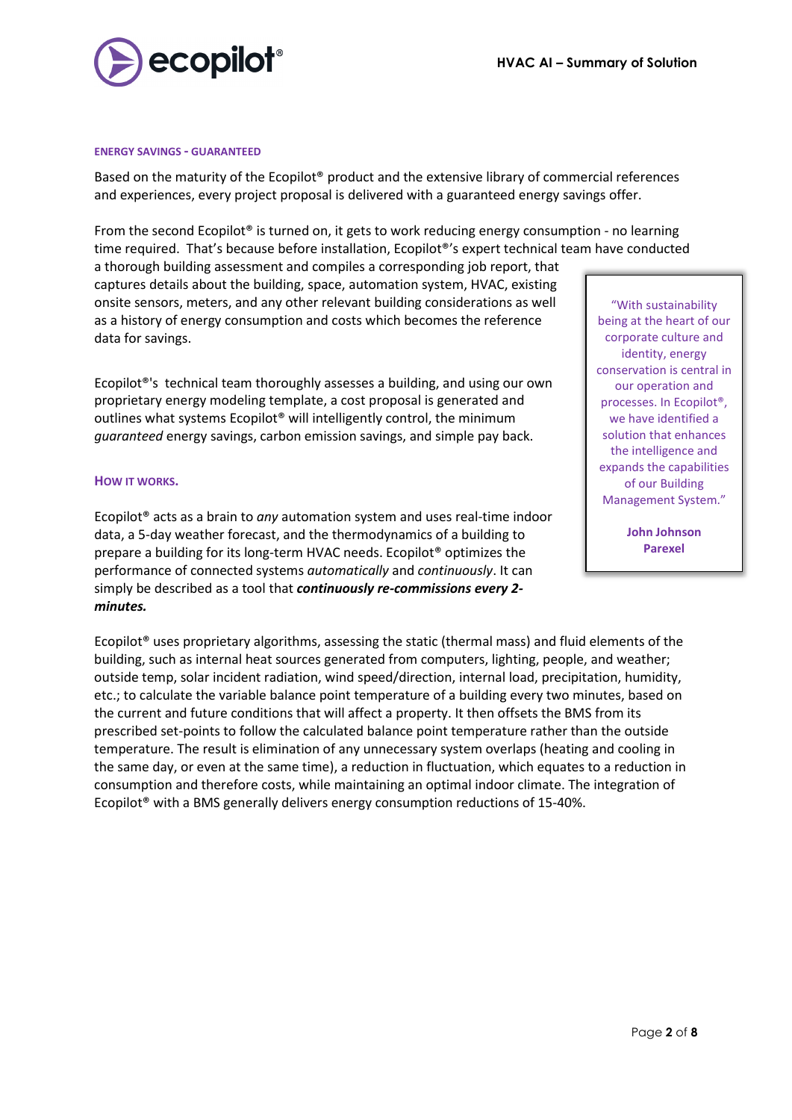

#### **ENERGY SAVINGS - GUARANTEED**

Based on the maturity of the Ecopilot® product and the extensive library of commercial references and experiences, every project proposal is delivered with a guaranteed energy savings offer.

From the second Ecopilot<sup>®</sup> is turned on, it gets to work reducing energy consumption - no learning time required. That's because before installation, Ecopilot®'s expert technical team have conducted

a thorough building assessment and compiles a corresponding job report, that captures details about the building, space, automation system, HVAC, existing onsite sensors, meters, and any other relevant building considerations as well as a history of energy consumption and costs which becomes the reference data for savings.

Ecopilot®'s technical team thoroughly assesses a building, and using our own proprietary energy modeling template, a cost proposal is generated and outlines what systems Ecopilot® will intelligently control, the minimum *guaranteed* energy savings, carbon emission savings, and simple pay back.

#### **HOW IT WORKS.**

Ecopilot® acts as a brain to *any* automation system and uses real-time indoor data, a 5-day weather forecast, and the thermodynamics of a building to prepare a building for its long-term HVAC needs. Ecopilot® optimizes the performance of connected systems *automatically* and *continuously*. It can simply be described as a tool that *continuously re-commissions every 2 minutes.*

Ecopilot<sup>®</sup> uses proprietary algorithms, assessing the static (thermal mass) and fluid elements of the building, such as internal heat sources generated from computers, lighting, people, and weather; outside temp, solar incident radiation, wind speed/direction, internal load, precipitation, humidity, etc.; to calculate the variable balance point temperature of a building every two minutes, based on the current and future conditions that will affect a property. It then offsets the BMS from its prescribed set-points to follow the calculated balance point temperature rather than the outside temperature. The result is elimination of any unnecessary system overlaps (heating and cooling in the same day, or even at the same time), a reduction in fluctuation, which equates to a reduction in consumption and therefore costs, while maintaining an optimal indoor climate. The integration of Ecopilot® with a BMS generally delivers energy consumption reductions of 15-40%.

"With sustainability being at the heart of our corporate culture and identity, energy conservation is central in our operation and processes. In Ecopilot®, we have identified a solution that enhances the intelligence and expands the capabilities of our Building Management System."

> **John Johnson Parexel**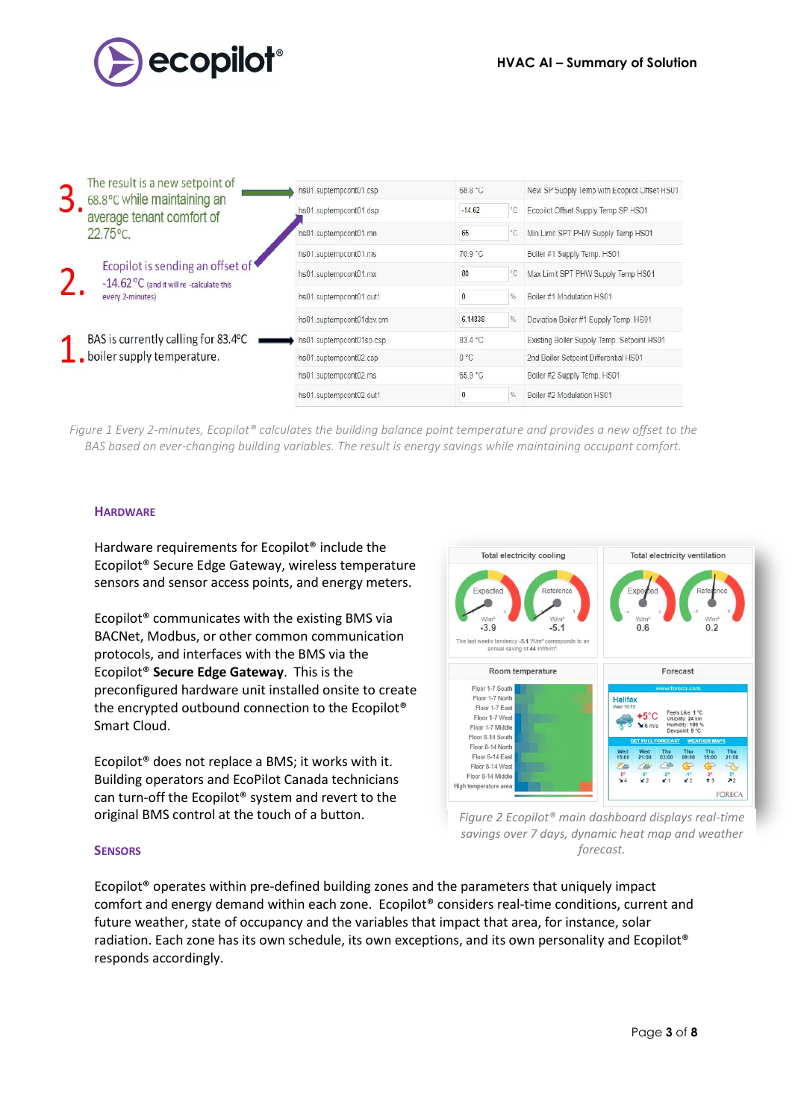

| The result is a new setpoint of<br>68.8°C while maintaining an                                      | hs01.suptempcont01.csp   | 68.8 °C                  | New SP Supply Temp with Ecopilot Offset HS01 |
|-----------------------------------------------------------------------------------------------------|--------------------------|--------------------------|----------------------------------------------|
| average tenant comfort of                                                                           | hs01.suptempcont01.dsp   | $-14.62$<br>$^{\circ}$ C | Ecopilot Offset Supply Temp SP HS01          |
| $22.75^{\circ}$ C.                                                                                  | hs01.suptempcont01.mn    | 65<br>$^{\circ}$ C       | Min Limit SPT PHW Supply Temp HS01           |
| Ecopilot is sending an offset of<br>$-14.62$ °C (and it will re -calculate this<br>every 2-minutes) | hs01.suptempcont01.ms    | 70.9 °C                  | Boiler #1 Supply Temp. HS01                  |
|                                                                                                     | hs01.suptempcont01.mx    | 80<br>۰C                 | Max Limit SPT PHW Supply Temp HS01           |
|                                                                                                     | hs01.suptempcont01.out1  | $\pmb{0}$<br>$\%$        | Boiler #1 Modulation HS01                    |
|                                                                                                     | hs01.suptempcont01dev.cm | $\%$<br>6.14838          | Deviation Boiler #1 Supply Temp. HS01        |
| BAS is currently calling for 83.4°C                                                                 | hs01.suptempcont01sp.csp | 834 °C                   | Existing Boiler Supply Temp. Setpoint HS01   |
| boiler supply temperature.                                                                          | hs01.suptempcont02.csp   | $0^{\circ}$ C            | 2nd Boiler Setpoint Differential HS01        |
|                                                                                                     | hs01.suptempcont02.ms    | 65.9 °C                  | Boiler #2 Supply Temp. HS01                  |
|                                                                                                     | hs01.suptempcont02.out1  | $\bf 0$<br>$\%$          | Boiler #2 Modulation HS01                    |

*Figure 1 Every 2-minutes, Ecopilot® calculates the building balance point temperature and provides a new offset to the BAS based on ever-changing building variables. The result is energy savings while maintaining occupant comfort.*

# **HARDWARE**

Hardware requirements for Ecopilot® include the Ecopilot® Secure Edge Gateway, wireless temperature sensors and sensor access points, and energy meters.

Ecopilot® communicates with the existing BMS via BACNet, Modbus, or other common communication protocols, and interfaces with the BMS via the Ecopilot® **Secure Edge Gateway**. This is the preconfigured hardware unit installed onsite to create the encrypted outbound connection to the Ecopilot® Smart Cloud.

Ecopilot® does not replace a BMS; it works with it. Building operators and EcoPilot Canada technicians can turn-off the Ecopilot® system and revert to the original BMS control at the touch of a button.



*Figure 2 Ecopilot® main dashboard displays real-time savings over 7 days, dynamic heat map and weather forecast.*

## **SENSORS**

Ecopilot® operates within pre-defined building zones and the parameters that uniquely impact comfort and energy demand within each zone. Ecopilot® considers real-time conditions, current and future weather, state of occupancy and the variables that impact that area, for instance, solar radiation. Each zone has its own schedule, its own exceptions, and its own personality and Ecopilot® responds accordingly.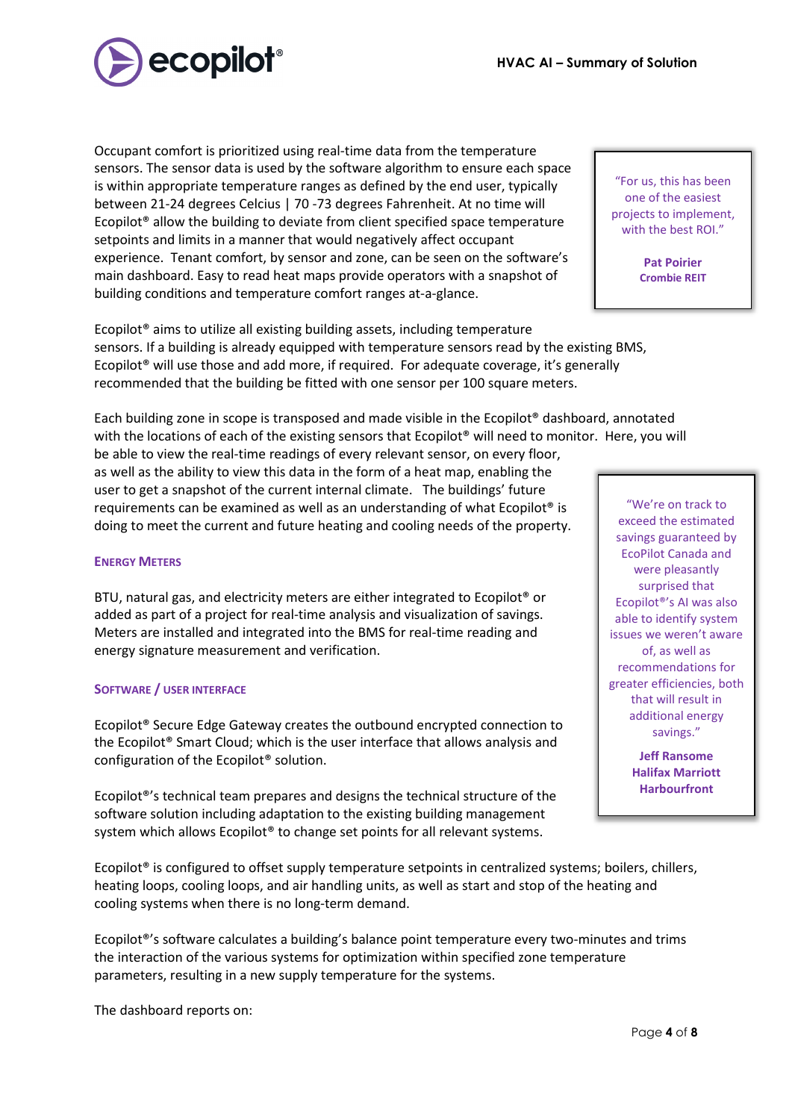Page **4** of **8**

building conditions and temperature comfort ranges at-a-glance. Ecopilot® aims to utilize all existing building assets, including temperature sensors. If a building is already equipped with temperature sensors read by the existing BMS, Ecopilot® will use those and add more, if required. For adequate coverage, it's generally recommended that the building be fitted with one sensor per 100 square meters.

Each building zone in scope is transposed and made visible in the Ecopilot® dashboard, annotated with the locations of each of the existing sensors that Ecopilot<sup>®</sup> will need to monitor. Here, you will

be able to view the real-time readings of every relevant sensor, on every floor, as well as the ability to view this data in the form of a heat map, enabling the user to get a snapshot of the current internal climate. The buildings' future requirements can be examined as well as an understanding of what Ecopilot® is doing to meet the current and future heating and cooling needs of the property.

Occupant comfort is prioritized using real-time data from the temperature sensors. The sensor data is used by the software algorithm to ensure each space is within appropriate temperature ranges as defined by the end user, typically between 21-24 degrees Celcius | 70 -73 degrees Fahrenheit. At no time will Ecopilot® allow the building to deviate from client specified space temperature

setpoints and limits in a manner that would negatively affect occupant

experience. Tenant comfort, by sensor and zone, can be seen on the software's main dashboard. Easy to read heat maps provide operators with a snapshot of

# **ENERGY METERS**

BTU, natural gas, and electricity meters are either integrated to Ecopilot® or added as part of a project for real-time analysis and visualization of savings. Meters are installed and integrated into the BMS for real-time reading and energy signature measurement and verification.

## **SOFTWARE / USER INTERFACE**

Ecopilot® Secure Edge Gateway creates the outbound encrypted connection to the Ecopilot® Smart Cloud; which is the user interface that allows analysis and configuration of the Ecopilot® solution.

Ecopilot®'s technical team prepares and designs the technical structure of the software solution including adaptation to the existing building management system which allows Ecopilot<sup>®</sup> to change set points for all relevant systems.

Ecopilot<sup>®</sup> is configured to offset supply temperature setpoints in centralized systems; boilers, chillers, heating loops, cooling loops, and air handling units, as well as start and stop of the heating and cooling systems when there is no long-term demand.

Ecopilot®'s software calculates a building's balance point temperature every two-minutes and trims the interaction of the various systems for optimization within specified zone temperature parameters, resulting in a new supply temperature for the systems.

The dashboard reports on:

"For us, this has been one of the easiest projects to implement, with the best ROI."

> **Pat Poirier Crombie REIT**

"We're on track to exceed the estimated savings guaranteed by EcoPilot Canada and were pleasantly surprised that Ecopilot®'s AI was also able to identify system issues we weren't aware of, as well as recommendations for greater efficiencies, both that will result in additional energy savings."

> **Jeff Ransome Halifax Marriott Harbourfront**

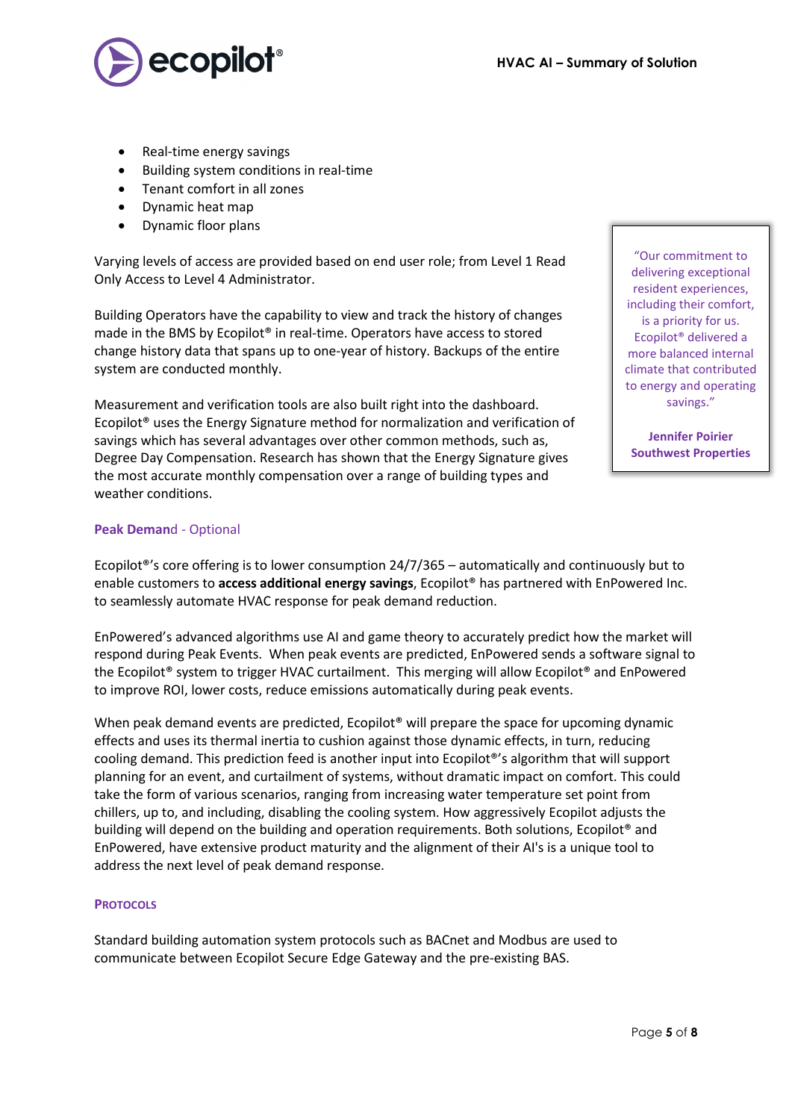

- Real-time energy savings
- Building system conditions in real-time
- Tenant comfort in all zones
- Dynamic heat map
- Dynamic floor plans

Varying levels of access are provided based on end user role; from Level 1 Read Only Access to Level 4 Administrator.

Building Operators have the capability to view and track the history of changes made in the BMS by Ecopilot® in real-time. Operators have access to stored change history data that spans up to one-year of history. Backups of the entire system are conducted monthly.

Measurement and verification tools are also built right into the dashboard. Ecopilot® uses the Energy Signature method for normalization and verification of savings which has several advantages over other common methods, such as, Degree Day Compensation. Research has shown that the Energy Signature gives the most accurate monthly compensation over a range of building types and weather conditions.

# **Peak Deman**d - Optional

Ecopilot®'s core offering is to lower consumption 24/7/365 – automatically and continuously but to enable customers to **access additional energy savings**, Ecopilot® has partnered with EnPowered Inc. to seamlessly automate HVAC response for peak demand reduction.

EnPowered's advanced algorithms use AI and game theory to accurately predict how the market will respond during Peak Events. When peak events are predicted, EnPowered sends a software signal to the Ecopilot® system to trigger HVAC curtailment. This merging will allow Ecopilot® and EnPowered to improve ROI, lower costs, reduce emissions automatically during peak events.

When peak demand events are predicted, Ecopilot<sup>®</sup> will prepare the space for upcoming dynamic effects and uses its thermal inertia to cushion against those dynamic effects, in turn, reducing cooling demand. This prediction feed is another input into Ecopilot®'s algorithm that will support planning for an event, and curtailment of systems, without dramatic impact on comfort. This could take the form of various scenarios, ranging from increasing water temperature set point from chillers, up to, and including, disabling the cooling system. How aggressively Ecopilot adjusts the building will depend on the building and operation requirements. Both solutions, Ecopilot® and EnPowered, have extensive product maturity and the alignment of their AI's is a unique tool to address the next level of peak demand response.

## **PROTOCOLS**

Standard building automation system protocols such as BACnet and Modbus are used to communicate between Ecopilot Secure Edge Gateway and the pre-existing BAS.

"Our commitment to delivering exceptional resident experiences, including their comfort, is a priority for us. Ecopilot® delivered a more balanced internal climate that contributed to energy and operating savings."

**Jennifer Poirier Southwest Properties**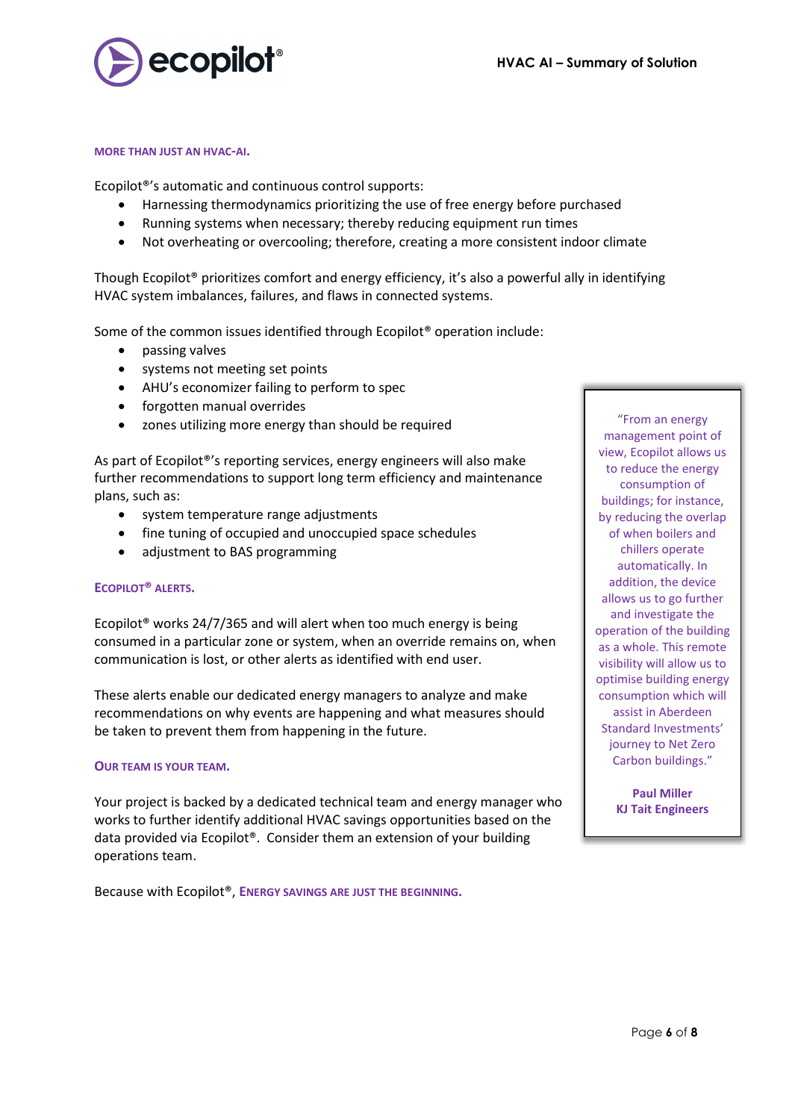

#### **MORE THAN JUST AN HVAC-AI.**

Ecopilot®'s automatic and continuous control supports:

- Harnessing thermodynamics prioritizing the use of free energy before purchased
- Running systems when necessary; thereby reducing equipment run times
- Not overheating or overcooling; therefore, creating a more consistent indoor climate

Though Ecopilot® prioritizes comfort and energy efficiency, it's also a powerful ally in identifying HVAC system imbalances, failures, and flaws in connected systems.

Some of the common issues identified through Ecopilot® operation include:

- passing valves
- systems not meeting set points
- AHU's economizer failing to perform to spec
- forgotten manual overrides
- zones utilizing more energy than should be required

As part of Ecopilot®'s reporting services, energy engineers will also make further recommendations to support long term efficiency and maintenance plans, such as:

- system temperature range adjustments
- fine tuning of occupied and unoccupied space schedules
- adjustment to BAS programming

## **ECOPILOT® ALERTS.**

Ecopilot® works 24/7/365 and will alert when too much energy is being consumed in a particular zone or system, when an override remains on, when communication is lost, or other alerts as identified with end user.

These alerts enable our dedicated energy managers to analyze and make recommendations on why events are happening and what measures should be taken to prevent them from happening in the future.

## **OUR TEAM IS YOUR TEAM.**

Your project is backed by a dedicated technical team and energy manager who works to further identify additional HVAC savings opportunities based on the data provided via Ecopilot®. Consider them an extension of your building operations team.

Because with Ecopilot®, **ENERGY SAVINGS ARE JUST THE BEGINNING.**

"From an energy management point of view, Ecopilot allows us to reduce the energy consumption of buildings; for instance, by reducing the overlap of when boilers and chillers operate automatically. In addition, the device allows us to go further and investigate the operation of the building as a whole. This remote visibility will allow us to optimise building energy consumption which will assist in Aberdeen Standard Investments' journey to Net Zero Carbon buildings."

> **Paul Miller KJ Tait Engineers**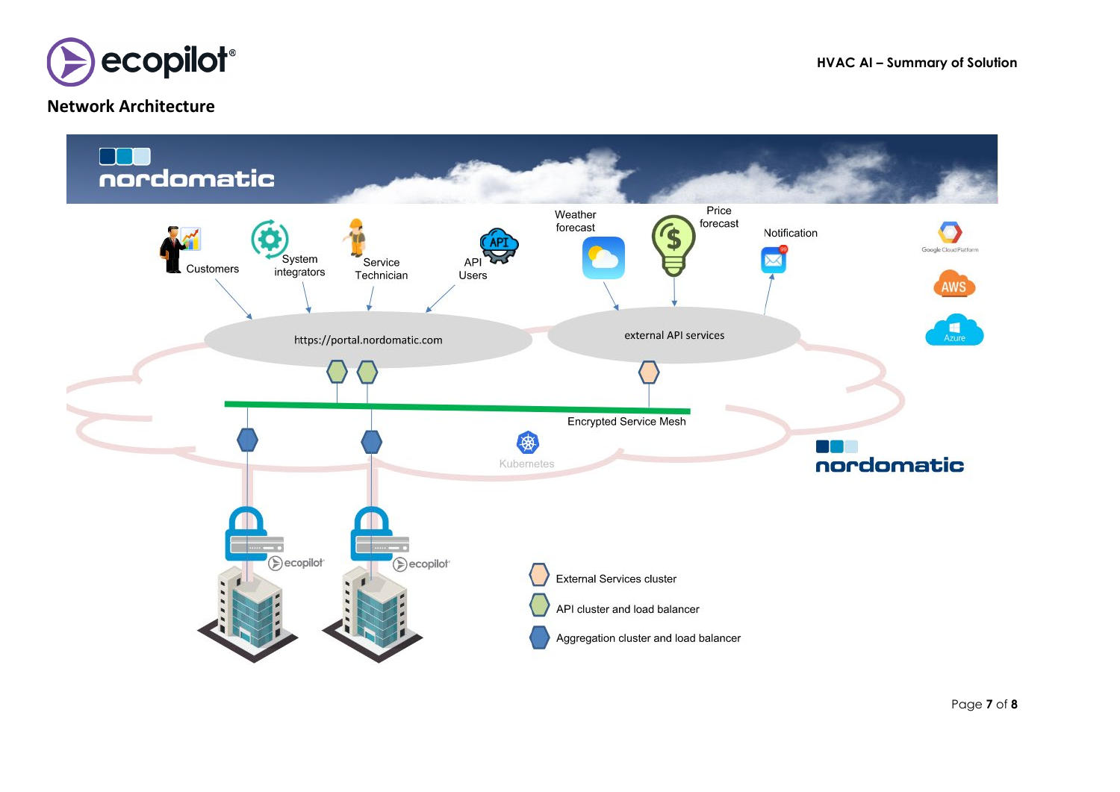

# **Network Architecture**